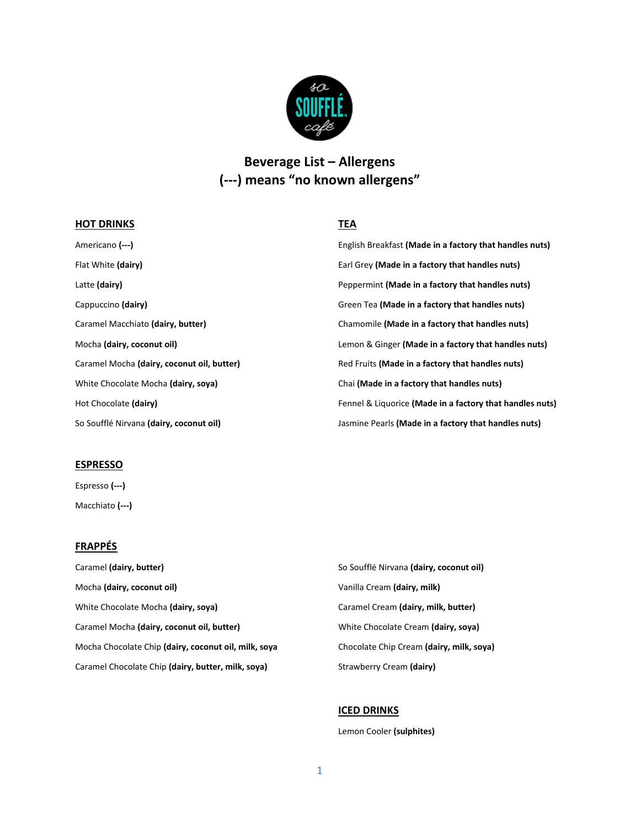

# **Beverage List – Allergens (---) means "no known allergens"**

# **HOT DRINKS**

# **TEA**

Americano **(---)** Flat White **(dairy)** Latte **(dairy)** Cappuccino **(dairy)** Caramel Macchiato **(dairy, butter)** Mocha **(dairy, coconut oil)** Caramel Mocha **(dairy, coconut oil, butter)** White Chocolate Mocha **(dairy, soya)** Hot Chocolate **(dairy)** So Soufflé Nirvana **(dairy, coconut oil)** English Breakfast **(Made in a factory that handles nuts)** Earl Grey **(Made in a factory that handles nuts)** Peppermint **(Made in a factory that handles nuts)** Green Tea **(Made in a factory that handles nuts)** Chamomile **(Made in a factory that handles nuts)** Lemon & Ginger **(Made in a factory that handles nuts)** Red Fruits **(Made in a factory that handles nuts)** Chai **(Made in a factory that handles nuts)** Fennel & Liquorice **(Made in a factory that handles nuts)** Jasmine Pearls **(Made in a factory that handles nuts)**

#### **ESPRESSO**

Espresso **(---)** Macchiato **(---)**

# **FRAPPÉS**

Caramel **(dairy, butter)** Mocha **(dairy, coconut oil)** White Chocolate Mocha **(dairy, soya)** Caramel Mocha **(dairy, coconut oil, butter)** Mocha Chocolate Chip **(dairy, coconut oil, milk, soya** Caramel Chocolate Chip **(dairy, butter, milk, soya)**

So Soufflé Nirvana **(dairy, coconut oil)** Vanilla Cream **(dairy, milk)** Caramel Cream **(dairy, milk, butter)** White Chocolate Cream **(dairy, soya)** Chocolate Chip Cream **(dairy, milk, soya)** Strawberry Cream **(dairy)** 

# **ICED DRINKS**

Lemon Cooler **(sulphites)**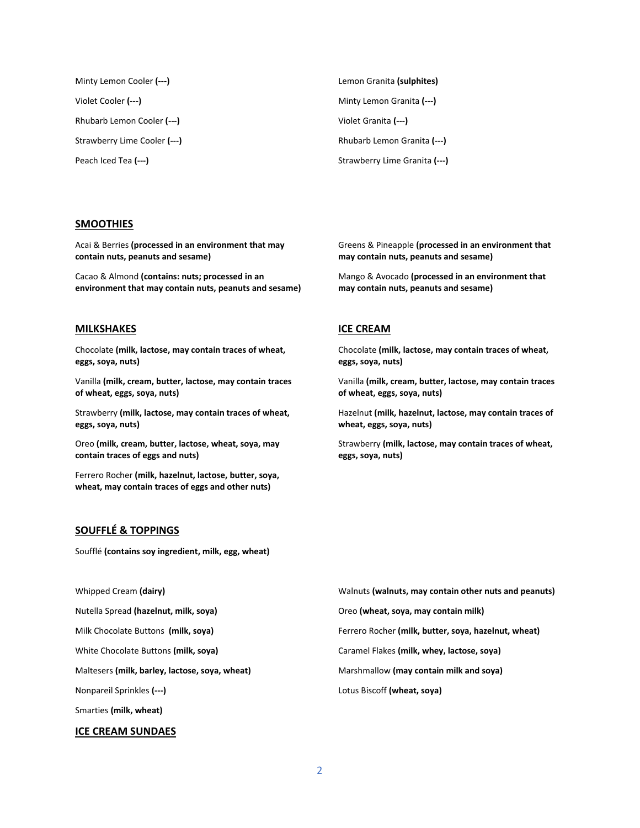| Minty Lemon Cooler (---)     | Lemon Granita (sulphites)     |
|------------------------------|-------------------------------|
| Violet Cooler <b>(---)</b>   | Minty Lemon Granita (---)     |
| Rhubarb Lemon Cooler (---)   | Violet Granita (---)          |
| Strawberry Lime Cooler (---) | Rhubarb Lemon Granita (---)   |
| Peach Iced Tea (---)         | Strawberry Lime Granita (---) |
|                              |                               |

#### **SMOOTHIES**

Acai & Berries **(processed in an environment that may contain nuts, peanuts and sesame)**

Cacao & Almond **(contains: nuts; processed in an environment that may contain nuts, peanuts and sesame)**

#### **MILKSHAKES**

Chocolate **(milk, lactose, may contain traces of wheat, eggs, soya, nuts)**

Vanilla **(milk, cream, butter, lactose, may contain traces of wheat, eggs, soya, nuts)**

Strawberry **(milk, lactose, may contain traces of wheat, eggs, soya, nuts)**

Oreo **(milk, cream, butter, lactose, wheat, soya, may contain traces of eggs and nuts)**

Ferrero Rocher **(milk, hazelnut, lactose, butter, soya, wheat, may contain traces of eggs and other nuts)**

# **SOUFFLÉ & TOPPINGS**

Soufflé **(contains soy ingredient, milk, egg, wheat)**

Whipped Cream **(dairy)**

Nutella Spread **(hazelnut, milk, soya)**

Milk Chocolate Buttons **(milk, soya)**

White Chocolate Buttons **(milk, soya)**

Maltesers **(milk, barley, lactose, soya, wheat)**

Nonpareil Sprinkles **(---)**

Smarties **(milk, wheat)**

#### **ICE CREAM SUNDAES**

Greens & Pineapple **(processed in an environment that may contain nuts, peanuts and sesame)**

Mango & Avocado **(processed in an environment that may contain nuts, peanuts and sesame)**

## **ICE CREAM**

Chocolate **(milk, lactose, may contain traces of wheat, eggs, soya, nuts)**

Vanilla **(milk, cream, butter, lactose, may contain traces of wheat, eggs, soya, nuts)**

Hazelnut **(milk, hazelnut, lactose, may contain traces of wheat, eggs, soya, nuts)**

Strawberry **(milk, lactose, may contain traces of wheat, eggs, soya, nuts)**

Walnuts **(walnuts, may contain other nuts and peanuts)** Oreo **(wheat, soya, may contain milk)** Ferrero Rocher **(milk, butter, soya, hazelnut, wheat)** Caramel Flakes **(milk, whey, lactose, soya)** Marshmallow **(may contain milk and soya)** Lotus Biscoff **(wheat, soya)**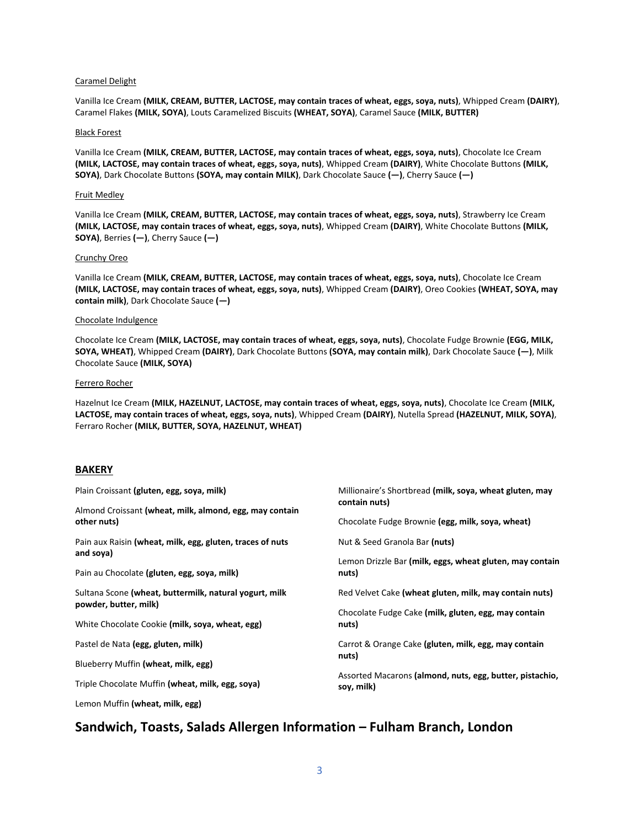#### Caramel Delight

Vanilla Ice Cream **(MILK, CREAM, BUTTER, LACTOSE, may contain traces of wheat, eggs, soya, nuts)**, Whipped Cream **(DAIRY)**, Caramel Flakes **(MILK, SOYA)**, Louts Caramelized Biscuits **(WHEAT, SOYA)**, Caramel Sauce **(MILK, BUTTER)**

#### Black Forest

Vanilla Ice Cream **(MILK, CREAM, BUTTER, LACTOSE, may contain traces of wheat, eggs, soya, nuts)**, Chocolate Ice Cream **(MILK, LACTOSE, may contain traces of wheat, eggs, soya, nuts)**, Whipped Cream **(DAIRY)**, White Chocolate Buttons **(MILK, SOYA)**, Dark Chocolate Buttons **(SOYA, may contain MILK)**, Dark Chocolate Sauce **(—)**, Cherry Sauce **(—)**

#### Fruit Medley

Vanilla Ice Cream **(MILK, CREAM, BUTTER, LACTOSE, may contain traces of wheat, eggs, soya, nuts)**, Strawberry Ice Cream **(MILK, LACTOSE, may contain traces of wheat, eggs, soya, nuts)**, Whipped Cream **(DAIRY)**, White Chocolate Buttons **(MILK, SOYA)**, Berries **(—)**, Cherry Sauce **(—)**

#### Crunchy Oreo

Vanilla Ice Cream **(MILK, CREAM, BUTTER, LACTOSE, may contain traces of wheat, eggs, soya, nuts)**, Chocolate Ice Cream **(MILK, LACTOSE, may contain traces of wheat, eggs, soya, nuts)**, Whipped Cream **(DAIRY)**, Oreo Cookies **(WHEAT, SOYA, may contain milk)**, Dark Chocolate Sauce **(—)**

#### Chocolate Indulgence

Chocolate Ice Cream **(MILK, LACTOSE, may contain traces of wheat, eggs, soya, nuts)**, Chocolate Fudge Brownie **(EGG, MILK, SOYA, WHEAT)**, Whipped Cream **(DAIRY)**, Dark Chocolate Buttons **(SOYA, may contain milk)**, Dark Chocolate Sauce **(—)**, Milk Chocolate Sauce **(MILK, SOYA)**

#### Ferrero Rocher

Hazelnut Ice Cream **(MILK, HAZELNUT, LACTOSE, may contain traces of wheat, eggs, soya, nuts)**, Chocolate Ice Cream **(MILK, LACTOSE, may contain traces of wheat, eggs, soya, nuts)**, Whipped Cream **(DAIRY)**, Nutella Spread **(HAZELNUT, MILK, SOYA)**, Ferraro Rocher **(MILK, BUTTER, SOYA, HAZELNUT, WHEAT)**

#### **BAKERY**

| Plain Croissant (gluten, egg, soya, milk)                                | Millionaire's Shortbread (milk, soya, wheat gluten, may<br>contain nuts)                           |  |
|--------------------------------------------------------------------------|----------------------------------------------------------------------------------------------------|--|
| Almond Croissant (wheat, milk, almond, egg, may contain<br>other nuts)   | Chocolate Fudge Brownie (egg, milk, soya, wheat)                                                   |  |
| Pain aux Raisin (wheat, milk, egg, gluten, traces of nuts                | Nut & Seed Granola Bar (nuts)<br>Lemon Drizzle Bar (milk, eggs, wheat gluten, may contain<br>nuts) |  |
| and soya)<br>Pain au Chocolate (gluten, egg, soya, milk)                 |                                                                                                    |  |
| Sultana Scone (wheat, buttermilk, natural yogurt, milk                   | Red Velvet Cake (wheat gluten, milk, may contain nuts)                                             |  |
| powder, butter, milk)<br>White Chocolate Cookie (milk, soya, wheat, egg) | Chocolate Fudge Cake (milk, gluten, egg, may contain<br>nuts)                                      |  |
| Pastel de Nata (egg, gluten, milk)                                       | Carrot & Orange Cake (gluten, milk, egg, may contain<br>nuts)                                      |  |
| Blueberry Muffin (wheat, milk, egg)                                      |                                                                                                    |  |
| Triple Chocolate Muffin (wheat, milk, egg, soya)                         | Assorted Macarons (almond, nuts, egg, butter, pistachio,<br>soy, milk)                             |  |
| Lemon Muffin (wheat. milk. egg)                                          |                                                                                                    |  |

# **Sandwich, Toasts, Salads Allergen Information – Fulham Branch, London**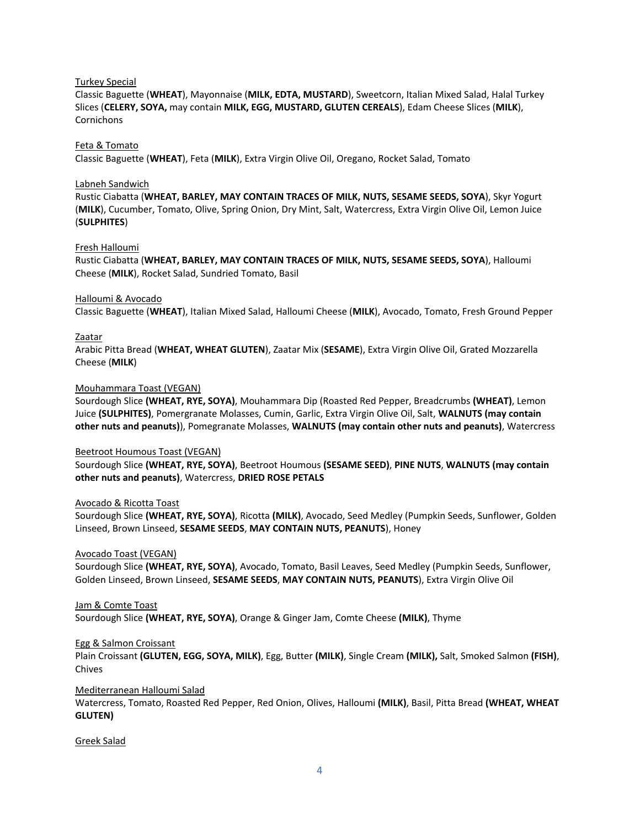## Turkey Special

Classic Baguette (**WHEAT**), Mayonnaise (**MILK, EDTA, MUSTARD**), Sweetcorn, Italian Mixed Salad, Halal Turkey Slices (**CELERY, SOYA,** may contain **MILK, EGG, MUSTARD, GLUTEN CEREALS**), Edam Cheese Slices (**MILK**), **Cornichons** 

## Feta & Tomato

Classic Baguette (**WHEAT**), Feta (**MILK**), Extra Virgin Olive Oil, Oregano, Rocket Salad, Tomato

## Labneh Sandwich

Rustic Ciabatta (**WHEAT, BARLEY, MAY CONTAIN TRACES OF MILK, NUTS, SESAME SEEDS, SOYA**), Skyr Yogurt (**MILK**), Cucumber, Tomato, Olive, Spring Onion, Dry Mint, Salt, Watercress, Extra Virgin Olive Oil, Lemon Juice (**SULPHITES**)

## Fresh Halloumi

Rustic Ciabatta (**WHEAT, BARLEY, MAY CONTAIN TRACES OF MILK, NUTS, SESAME SEEDS, SOYA**), Halloumi Cheese (**MILK**), Rocket Salad, Sundried Tomato, Basil

## Halloumi & Avocado

Classic Baguette (**WHEAT**), Italian Mixed Salad, Halloumi Cheese (**MILK**), Avocado, Tomato, Fresh Ground Pepper

## Zaatar

Arabic Pitta Bread (**WHEAT, WHEAT GLUTEN**), Zaatar Mix (**SESAME**), Extra Virgin Olive Oil, Grated Mozzarella Cheese (**MILK**)

## Mouhammara Toast (VEGAN)

Sourdough Slice **(WHEAT, RYE, SOYA)**, Mouhammara Dip (Roasted Red Pepper, Breadcrumbs **(WHEAT)**, Lemon Juice **(SULPHITES)**, Pomergranate Molasses, Cumin, Garlic, Extra Virgin Olive Oil, Salt, **WALNUTS (may contain other nuts and peanuts)**), Pomegranate Molasses, **WALNUTS (may contain other nuts and peanuts)**, Watercress

#### Beetroot Houmous Toast (VEGAN)

Sourdough Slice **(WHEAT, RYE, SOYA)**, Beetroot Houmous **(SESAME SEED)**, **PINE NUTS**, **WALNUTS (may contain other nuts and peanuts)**, Watercress, **DRIED ROSE PETALS**

# Avocado & Ricotta Toast

Sourdough Slice **(WHEAT, RYE, SOYA)**, Ricotta **(MILK)**, Avocado, Seed Medley (Pumpkin Seeds, Sunflower, Golden Linseed, Brown Linseed, **SESAME SEEDS**, **MAY CONTAIN NUTS, PEANUTS**), Honey

#### Avocado Toast (VEGAN)

Sourdough Slice **(WHEAT, RYE, SOYA)**, Avocado, Tomato, Basil Leaves, Seed Medley (Pumpkin Seeds, Sunflower, Golden Linseed, Brown Linseed, **SESAME SEEDS**, **MAY CONTAIN NUTS, PEANUTS**), Extra Virgin Olive Oil

Jam & Comte Toast

Sourdough Slice **(WHEAT, RYE, SOYA)**, Orange & Ginger Jam, Comte Cheese **(MILK)**, Thyme

#### Egg & Salmon Croissant

Plain Croissant **(GLUTEN, EGG, SOYA, MILK)**, Egg, Butter **(MILK)**, Single Cream **(MILK),** Salt, Smoked Salmon **(FISH)**, Chives

# Mediterranean Halloumi Salad

Watercress, Tomato, Roasted Red Pepper, Red Onion, Olives, Halloumi **(MILK)**, Basil, Pitta Bread **(WHEAT, WHEAT GLUTEN)**

#### Greek Salad